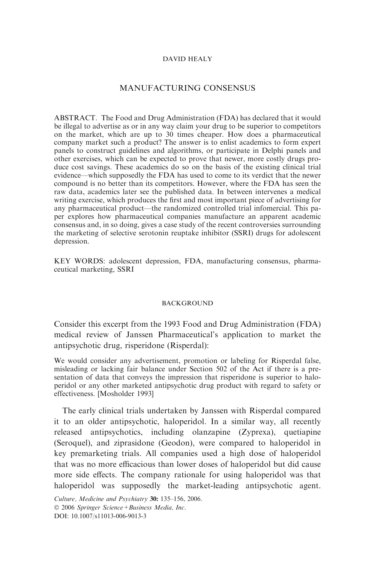#### DAVID HEALY

### MANUFACTURING CONSENSUS

ABSTRACT. The Food and Drug Administration (FDA) has declared that it would be illegal to advertise as or in any way claim your drug to be superior to competitors on the market, which are up to 30 times cheaper. How does a pharmaceutical company market such a product? The answer is to enlist academics to form expert panels to construct guidelines and algorithms, or participate in Delphi panels and other exercises, which can be expected to prove that newer, more costly drugs produce cost savings. These academics do so on the basis of the existing clinical trial evidence—which supposedly the FDA has used to come to its verdict that the newer compound is no better than its competitors. However, where the FDA has seen the raw data, academics later see the published data. In between intervenes a medical writing exercise, which produces the first and most important piece of advertising for any pharmaceutical product—the randomized controlled trial infomercial. This paper explores how pharmaceutical companies manufacture an apparent academic consensus and, in so doing, gives a case study of the recent controversies surrounding the marketing of selective serotonin reuptake inhibitor (SSRI) drugs for adolescent depression.

KEY WORDS: adolescent depression, FDA, manufacturing consensus, pharmaceutical marketing, SSRI

#### BACKGROUND

Consider this excerpt from the 1993 Food and Drug Administration (FDA) medical review of Janssen Pharmaceutical's application to market the antipsychotic drug, risperidone (Risperdal):

We would consider any advertisement, promotion or labeling for Risperdal false, misleading or lacking fair balance under Section 502 of the Act if there is a presentation of data that conveys the impression that risperidone is superior to haloperidol or any other marketed antipsychotic drug product with regard to safety or effectiveness. [Mosholder 1993]

The early clinical trials undertaken by Janssen with Risperdal compared it to an older antipsychotic, haloperidol. In a similar way, all recently released antipsychotics, including olanzapine (Zyprexa), quetiapine (Seroquel), and ziprasidone (Geodon), were compared to haloperidol in key premarketing trials. All companies used a high dose of haloperidol that was no more efficacious than lower doses of haloperidol but did cause more side effects. The company rationale for using haloperidol was that haloperidol was supposedly the market-leading antipsychotic agent.

Culture, Medicine and Psychiatry 30: 135–156, 2006. 2006 Springer Science+Business Media, Inc. DOI: 10.1007/s11013-006-9013-3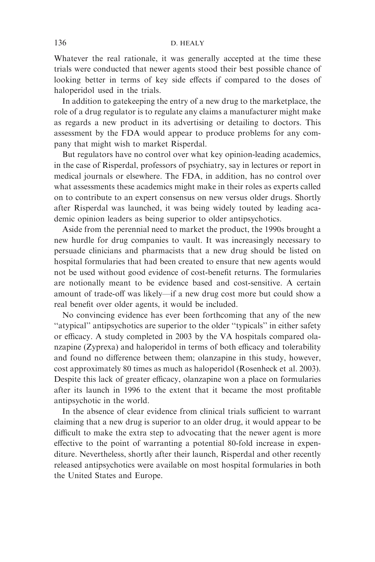Whatever the real rationale, it was generally accepted at the time these trials were conducted that newer agents stood their best possible chance of looking better in terms of key side effects if compared to the doses of haloperidol used in the trials.

In addition to gatekeeping the entry of a new drug to the marketplace, the role of a drug regulator is to regulate any claims a manufacturer might make as regards a new product in its advertising or detailing to doctors. This assessment by the FDA would appear to produce problems for any company that might wish to market Risperdal.

But regulators have no control over what key opinion-leading academics, in the case of Risperdal, professors of psychiatry, say in lectures or report in medical journals or elsewhere. The FDA, in addition, has no control over what assessments these academics might make in their roles as experts called on to contribute to an expert consensus on new versus older drugs. Shortly after Risperdal was launched, it was being widely touted by leading academic opinion leaders as being superior to older antipsychotics.

Aside from the perennial need to market the product, the 1990s brought a new hurdle for drug companies to vault. It was increasingly necessary to persuade clinicians and pharmacists that a new drug should be listed on hospital formularies that had been created to ensure that new agents would not be used without good evidence of cost-benefit returns. The formularies are notionally meant to be evidence based and cost-sensitive. A certain amount of trade-off was likely—if a new drug cost more but could show a real benefit over older agents, it would be included.

No convincing evidence has ever been forthcoming that any of the new ''atypical'' antipsychotics are superior to the older ''typicals'' in either safety or efficacy. A study completed in 2003 by the VA hospitals compared olanzapine (Zyprexa) and haloperidol in terms of both efficacy and tolerability and found no difference between them; olanzapine in this study, however, cost approximately 80 times as much as haloperidol (Rosenheck et al. 2003). Despite this lack of greater efficacy, olanzapine won a place on formularies after its launch in 1996 to the extent that it became the most profitable antipsychotic in the world.

In the absence of clear evidence from clinical trials sufficient to warrant claiming that a new drug is superior to an older drug, it would appear to be difficult to make the extra step to advocating that the newer agent is more effective to the point of warranting a potential 80-fold increase in expenditure. Nevertheless, shortly after their launch, Risperdal and other recently released antipsychotics were available on most hospital formularies in both the United States and Europe.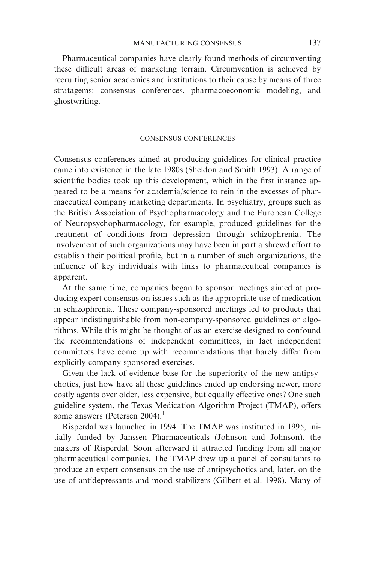Pharmaceutical companies have clearly found methods of circumventing these difficult areas of marketing terrain. Circumvention is achieved by recruiting senior academics and institutions to their cause by means of three stratagems: consensus conferences, pharmacoeconomic modeling, and ghostwriting.

### CONSENSUS CONFERENCES

Consensus conferences aimed at producing guidelines for clinical practice came into existence in the late 1980s (Sheldon and Smith 1993). A range of scientific bodies took up this development, which in the first instance appeared to be a means for academia/science to rein in the excesses of pharmaceutical company marketing departments. In psychiatry, groups such as the British Association of Psychopharmacology and the European College of Neuropsychopharmacology, for example, produced guidelines for the treatment of conditions from depression through schizophrenia. The involvement of such organizations may have been in part a shrewd effort to establish their political profile, but in a number of such organizations, the influence of key individuals with links to pharmaceutical companies is apparent.

At the same time, companies began to sponsor meetings aimed at producing expert consensus on issues such as the appropriate use of medication in schizophrenia. These company-sponsored meetings led to products that appear indistinguishable from non-company-sponsored guidelines or algorithms. While this might be thought of as an exercise designed to confound the recommendations of independent committees, in fact independent committees have come up with recommendations that barely differ from explicitly company-sponsored exercises.

Given the lack of evidence base for the superiority of the new antipsychotics, just how have all these guidelines ended up endorsing newer, more costly agents over older, less expensive, but equally effective ones? One such guideline system, the Texas Medication Algorithm Project (TMAP), offers some answers (Petersen 2004).<sup>1</sup>

Risperdal was launched in 1994. The TMAP was instituted in 1995, initially funded by Janssen Pharmaceuticals (Johnson and Johnson), the makers of Risperdal. Soon afterward it attracted funding from all major pharmaceutical companies. The TMAP drew up a panel of consultants to produce an expert consensus on the use of antipsychotics and, later, on the use of antidepressants and mood stabilizers (Gilbert et al. 1998). Many of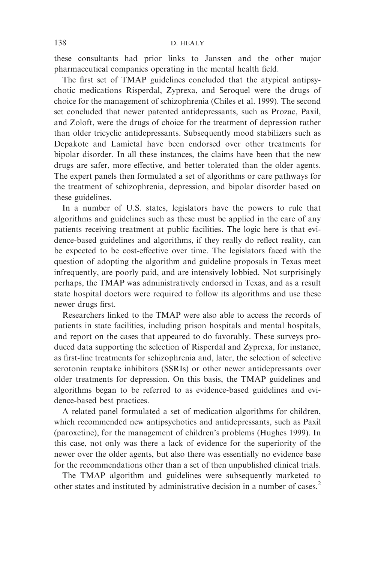these consultants had prior links to Janssen and the other major pharmaceutical companies operating in the mental health field.

The first set of TMAP guidelines concluded that the atypical antipsychotic medications Risperdal, Zyprexa, and Seroquel were the drugs of choice for the management of schizophrenia (Chiles et al. 1999). The second set concluded that newer patented antidepressants, such as Prozac, Paxil, and Zoloft, were the drugs of choice for the treatment of depression rather than older tricyclic antidepressants. Subsequently mood stabilizers such as Depakote and Lamictal have been endorsed over other treatments for bipolar disorder. In all these instances, the claims have been that the new drugs are safer, more effective, and better tolerated than the older agents. The expert panels then formulated a set of algorithms or care pathways for the treatment of schizophrenia, depression, and bipolar disorder based on these guidelines.

In a number of U.S. states, legislators have the powers to rule that algorithms and guidelines such as these must be applied in the care of any patients receiving treatment at public facilities. The logic here is that evidence-based guidelines and algorithms, if they really do reflect reality, can be expected to be cost-effective over time. The legislators faced with the question of adopting the algorithm and guideline proposals in Texas meet infrequently, are poorly paid, and are intensively lobbied. Not surprisingly perhaps, the TMAP was administratively endorsed in Texas, and as a result state hospital doctors were required to follow its algorithms and use these newer drugs first.

Researchers linked to the TMAP were also able to access the records of patients in state facilities, including prison hospitals and mental hospitals, and report on the cases that appeared to do favorably. These surveys produced data supporting the selection of Risperdal and Zyprexa, for instance, as first-line treatments for schizophrenia and, later, the selection of selective serotonin reuptake inhibitors (SSRIs) or other newer antidepressants over older treatments for depression. On this basis, the TMAP guidelines and algorithms began to be referred to as evidence-based guidelines and evidence-based best practices.

A related panel formulated a set of medication algorithms for children, which recommended new antipsychotics and antidepressants, such as Paxil (paroxetine), for the management of children's problems (Hughes 1999). In this case, not only was there a lack of evidence for the superiority of the newer over the older agents, but also there was essentially no evidence base for the recommendations other than a set of then unpublished clinical trials.

The TMAP algorithm and guidelines were subsequently marketed to other states and instituted by administrative decision in a number of cases.<sup>2</sup>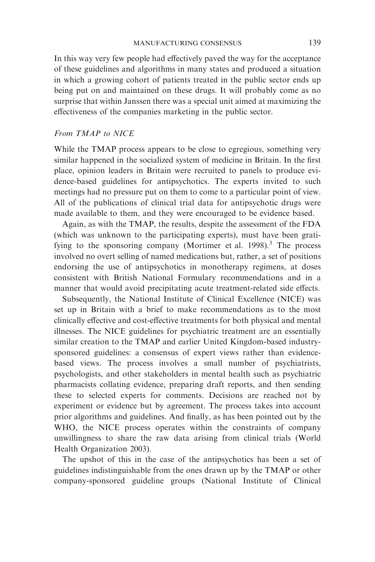In this way very few people had effectively paved the way for the acceptance of these guidelines and algorithms in many states and produced a situation

in which a growing cohort of patients treated in the public sector ends up being put on and maintained on these drugs. It will probably come as no surprise that within Janssen there was a special unit aimed at maximizing the effectiveness of the companies marketing in the public sector.

### From TMAP to NICE

While the TMAP process appears to be close to egregious, something very similar happened in the socialized system of medicine in Britain. In the first place, opinion leaders in Britain were recruited to panels to produce evidence-based guidelines for antipsychotics. The experts invited to such meetings had no pressure put on them to come to a particular point of view. All of the publications of clinical trial data for antipsychotic drugs were made available to them, and they were encouraged to be evidence based.

Again, as with the TMAP, the results, despite the assessment of the FDA (which was unknown to the participating experts), must have been gratifying to the sponsoring company (Mortimer et al.  $1998$ ).<sup>3</sup> The process involved no overt selling of named medications but, rather, a set of positions endorsing the use of antipsychotics in monotherapy regimens, at doses consistent with British National Formulary recommendations and in a manner that would avoid precipitating acute treatment-related side effects.

Subsequently, the National Institute of Clinical Excellence (NICE) was set up in Britain with a brief to make recommendations as to the most clinically effective and cost-effective treatments for both physical and mental illnesses. The NICE guidelines for psychiatric treatment are an essentially similar creation to the TMAP and earlier United Kingdom-based industrysponsored guidelines: a consensus of expert views rather than evidencebased views. The process involves a small number of psychiatrists, psychologists, and other stakeholders in mental health such as psychiatric pharmacists collating evidence, preparing draft reports, and then sending these to selected experts for comments. Decisions are reached not by experiment or evidence but by agreement. The process takes into account prior algorithms and guidelines. And finally, as has been pointed out by the WHO, the NICE process operates within the constraints of company unwillingness to share the raw data arising from clinical trials (World Health Organization 2003).

The upshot of this in the case of the antipsychotics has been a set of guidelines indistinguishable from the ones drawn up by the TMAP or other company-sponsored guideline groups (National Institute of Clinical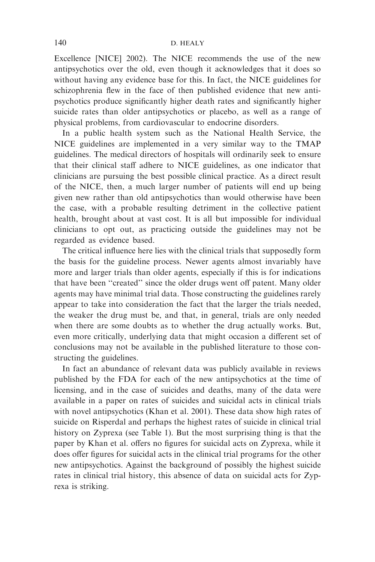Excellence [NICE] 2002). The NICE recommends the use of the new antipsychotics over the old, even though it acknowledges that it does so without having any evidence base for this. In fact, the NICE guidelines for schizophrenia flew in the face of then published evidence that new antipsychotics produce significantly higher death rates and significantly higher suicide rates than older antipsychotics or placebo, as well as a range of physical problems, from cardiovascular to endocrine disorders.

In a public health system such as the National Health Service, the NICE guidelines are implemented in a very similar way to the TMAP guidelines. The medical directors of hospitals will ordinarily seek to ensure that their clinical staff adhere to NICE guidelines, as one indicator that clinicians are pursuing the best possible clinical practice. As a direct result of the NICE, then, a much larger number of patients will end up being given new rather than old antipsychotics than would otherwise have been the case, with a probable resulting detriment in the collective patient health, brought about at vast cost. It is all but impossible for individual clinicians to opt out, as practicing outside the guidelines may not be regarded as evidence based.

The critical influence here lies with the clinical trials that supposedly form the basis for the guideline process. Newer agents almost invariably have more and larger trials than older agents, especially if this is for indications that have been ''created'' since the older drugs went off patent. Many older agents may have minimal trial data. Those constructing the guidelines rarely appear to take into consideration the fact that the larger the trials needed, the weaker the drug must be, and that, in general, trials are only needed when there are some doubts as to whether the drug actually works. But, even more critically, underlying data that might occasion a different set of conclusions may not be available in the published literature to those constructing the guidelines.

In fact an abundance of relevant data was publicly available in reviews published by the FDA for each of the new antipsychotics at the time of licensing, and in the case of suicides and deaths, many of the data were available in a paper on rates of suicides and suicidal acts in clinical trials with novel antipsychotics (Khan et al. 2001). These data show high rates of suicide on Risperdal and perhaps the highest rates of suicide in clinical trial history on Zyprexa (see Table 1). But the most surprising thing is that the paper by Khan et al. offers no figures for suicidal acts on Zyprexa, while it does offer figures for suicidal acts in the clinical trial programs for the other new antipsychotics. Against the background of possibly the highest suicide rates in clinical trial history, this absence of data on suicidal acts for Zyprexa is striking.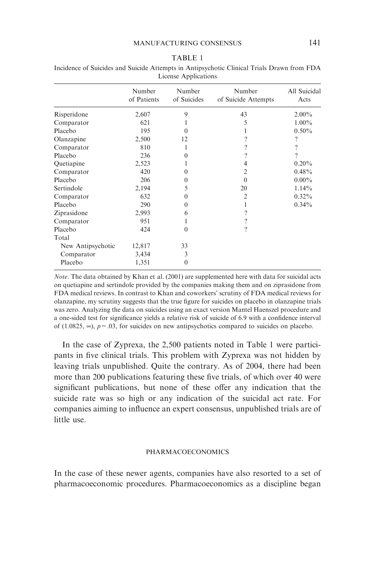| <b>TABLE 1</b><br>ts in Antipsychotic Clinical Trials Drawn from FDA |                               |                      |
|----------------------------------------------------------------------|-------------------------------|----------------------|
| nse Applications<br>Number<br>of Suicides                            | Number<br>of Suicide Attempts | All Suicidal<br>Acts |

| Incidence of Suicides and Suicide Attempts in Antipsychotic Clinical Trials Drawn from FDA |  |  |  |  |  |  |  |  |
|--------------------------------------------------------------------------------------------|--|--|--|--|--|--|--|--|
| License Applications                                                                       |  |  |  |  |  |  |  |  |

Number

|                   | of Patients | of Suicides | of Suicide Attempts | Acts                     |
|-------------------|-------------|-------------|---------------------|--------------------------|
| Risperidone       | 2,607       | 9           | 43                  | $2.00\%$                 |
| Comparator        | 621         |             | 5                   | $1.00\%$                 |
| Placebo           | 195         |             |                     | $0.50\%$                 |
| Olanzapine        | 2,500       | 12          | 9                   | ?                        |
| Comparator        | 810         |             | 9                   | ?                        |
| Placebo           | 236         | 0           | 9                   | $\overline{\phantom{a}}$ |
| Quetiapine        | 2,523       |             | 4                   | $0.20\%$                 |
| Comparator        | 420         | 0           | 2                   | $0.48\%$                 |
| Placebo           | 206         |             | $\Omega$            | $0.00\%$                 |
| Sertindole        | 2,194       | 5           | 20                  | 1.14%                    |
| Comparator        | 632         |             | 2                   | $0.32\%$                 |
| Placebo           | 290         | $\Omega$    |                     | $0.34\%$                 |
| Ziprasidone       | 2,993       | 6           | 9                   |                          |
| Comparator        | 951         |             | ?                   |                          |
| Placebo           | 424         | $\Omega$    | ?                   |                          |
| Total             |             |             |                     |                          |
| New Antipsychotic | 12,817      | 33          |                     |                          |
| Comparator        | 3,434       | 3           |                     |                          |
| Placebo           | 1,351       | $\theta$    |                     |                          |

Note. The data obtained by Khan et al. (2001) are supplemented here with data for suicidal acts on quetiapine and sertindole provided by the companies making them and on ziprasidone from FDA medical reviews. In contrast to Khan and coworkers' scrutiny of FDA medical reviews for olanzapine, my scrutiny suggests that the true figure for suicides on placebo in olanzapine trials was zero. Analyzing the data on suicides using an exact version Mantel Haenszel procedure and a one-sided test for significance yields a relative risk of suicide of 6.9 with a confidence interval of (1.0825,  $\infty$ ),  $p = .03$ , for suicides on new antipsychotics compared to suicides on placebo.

In the case of Zyprexa, the 2,500 patients noted in Table 1 were participants in five clinical trials. This problem with Zyprexa was not hidden by leaving trials unpublished. Quite the contrary. As of 2004, there had been more than 200 publications featuring these five trials, of which over 40 were significant publications, but none of these offer any indication that the suicide rate was so high or any indication of the suicidal act rate. For companies aiming to influence an expert consensus, unpublished trials are of little use.

### **PHARMACOECONOMICS**

In the case of these newer agents, companies have also resorted to a set of pharmacoeconomic procedures. Pharmacoeconomics as a discipline began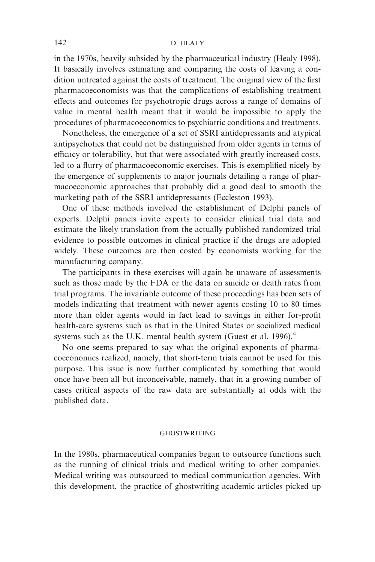in the 1970s, heavily subsided by the pharmaceutical industry (Healy 1998). It basically involves estimating and comparing the costs of leaving a condition untreated against the costs of treatment. The original view of the first pharmacoeconomists was that the complications of establishing treatment effects and outcomes for psychotropic drugs across a range of domains of value in mental health meant that it would be impossible to apply the procedures of pharmacoeconomics to psychiatric conditions and treatments.

Nonetheless, the emergence of a set of SSRI antidepressants and atypical antipsychotics that could not be distinguished from older agents in terms of efficacy or tolerability, but that were associated with greatly increased costs, led to a flurry of pharmacoeconomic exercises. This is exemplified nicely by the emergence of supplements to major journals detailing a range of pharmacoeconomic approaches that probably did a good deal to smooth the marketing path of the SSRI antidepressants (Eccleston 1993).

One of these methods involved the establishment of Delphi panels of experts. Delphi panels invite experts to consider clinical trial data and estimate the likely translation from the actually published randomized trial evidence to possible outcomes in clinical practice if the drugs are adopted widely. These outcomes are then costed by economists working for the manufacturing company.

The participants in these exercises will again be unaware of assessments such as those made by the FDA or the data on suicide or death rates from trial programs. The invariable outcome of these proceedings has been sets of models indicating that treatment with newer agents costing 10 to 80 times more than older agents would in fact lead to savings in either for-profit health-care systems such as that in the United States or socialized medical systems such as the U.K. mental health system (Guest et al. 1996). $<sup>4</sup>$ </sup>

No one seems prepared to say what the original exponents of pharmacoeconomics realized, namely, that short-term trials cannot be used for this purpose. This issue is now further complicated by something that would once have been all but inconceivable, namely, that in a growing number of cases critical aspects of the raw data are substantially at odds with the published data.

#### GHOSTWRITING

In the 1980s, pharmaceutical companies began to outsource functions such as the running of clinical trials and medical writing to other companies. Medical writing was outsourced to medical communication agencies. With this development, the practice of ghostwriting academic articles picked up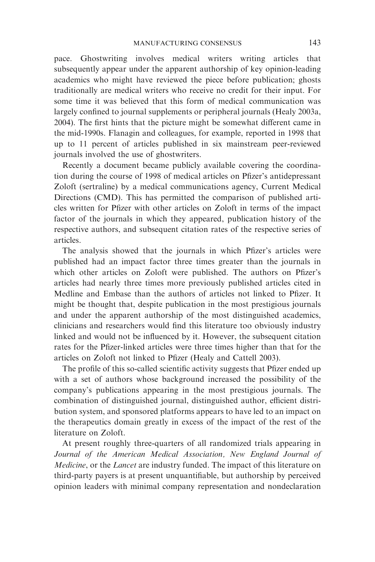pace. Ghostwriting involves medical writers writing articles that subsequently appear under the apparent authorship of key opinion-leading academics who might have reviewed the piece before publication; ghosts traditionally are medical writers who receive no credit for their input. For some time it was believed that this form of medical communication was largely confined to journal supplements or peripheral journals (Healy 2003a, 2004). The first hints that the picture might be somewhat different came in the mid-1990s. Flanagin and colleagues, for example, reported in 1998 that up to 11 percent of articles published in six mainstream peer-reviewed journals involved the use of ghostwriters.

Recently a document became publicly available covering the coordination during the course of 1998 of medical articles on Pfizer's antidepressant Zoloft (sertraline) by a medical communications agency, Current Medical Directions (CMD). This has permitted the comparison of published articles written for Pfizer with other articles on Zoloft in terms of the impact factor of the journals in which they appeared, publication history of the respective authors, and subsequent citation rates of the respective series of articles.

The analysis showed that the journals in which Pfizer's articles were published had an impact factor three times greater than the journals in which other articles on Zoloft were published. The authors on Pfizer's articles had nearly three times more previously published articles cited in Medline and Embase than the authors of articles not linked to Pfizer. It might be thought that, despite publication in the most prestigious journals and under the apparent authorship of the most distinguished academics, clinicians and researchers would find this literature too obviously industry linked and would not be influenced by it. However, the subsequent citation rates for the Pfizer-linked articles were three times higher than that for the articles on Zoloft not linked to Pfizer (Healy and Cattell 2003).

The profile of this so-called scientific activity suggests that Pfizer ended up with a set of authors whose background increased the possibility of the company's publications appearing in the most prestigious journals. The combination of distinguished journal, distinguished author, efficient distribution system, and sponsored platforms appears to have led to an impact on the therapeutics domain greatly in excess of the impact of the rest of the literature on Zoloft.

At present roughly three-quarters of all randomized trials appearing in Journal of the American Medical Association, New England Journal of Medicine, or the Lancet are industry funded. The impact of this literature on third-party payers is at present unquantifiable, but authorship by perceived opinion leaders with minimal company representation and nondeclaration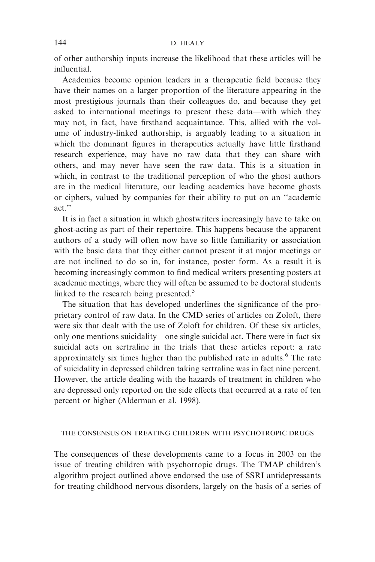of other authorship inputs increase the likelihood that these articles will be influential.

Academics become opinion leaders in a therapeutic field because they have their names on a larger proportion of the literature appearing in the most prestigious journals than their colleagues do, and because they get asked to international meetings to present these data—with which they may not, in fact, have firsthand acquaintance. This, allied with the volume of industry-linked authorship, is arguably leading to a situation in which the dominant figures in therapeutics actually have little firsthand research experience, may have no raw data that they can share with others, and may never have seen the raw data. This is a situation in which, in contrast to the traditional perception of who the ghost authors are in the medical literature, our leading academics have become ghosts or ciphers, valued by companies for their ability to put on an ''academic act.''

It is in fact a situation in which ghostwriters increasingly have to take on ghost-acting as part of their repertoire. This happens because the apparent authors of a study will often now have so little familiarity or association with the basic data that they either cannot present it at major meetings or are not inclined to do so in, for instance, poster form. As a result it is becoming increasingly common to find medical writers presenting posters at academic meetings, where they will often be assumed to be doctoral students linked to the research being presented.<sup>5</sup>

The situation that has developed underlines the significance of the proprietary control of raw data. In the CMD series of articles on Zoloft, there were six that dealt with the use of Zoloft for children. Of these six articles, only one mentions suicidality—one single suicidal act. There were in fact six suicidal acts on sertraline in the trials that these articles report: a rate approximately six times higher than the published rate in adults.<sup>6</sup> The rate of suicidality in depressed children taking sertraline was in fact nine percent. However, the article dealing with the hazards of treatment in children who are depressed only reported on the side effects that occurred at a rate of ten percent or higher (Alderman et al. 1998).

#### THE CONSENSUS ON TREATING CHILDREN WITH PSYCHOTROPIC DRUGS

The consequences of these developments came to a focus in 2003 on the issue of treating children with psychotropic drugs. The TMAP children's algorithm project outlined above endorsed the use of SSRI antidepressants for treating childhood nervous disorders, largely on the basis of a series of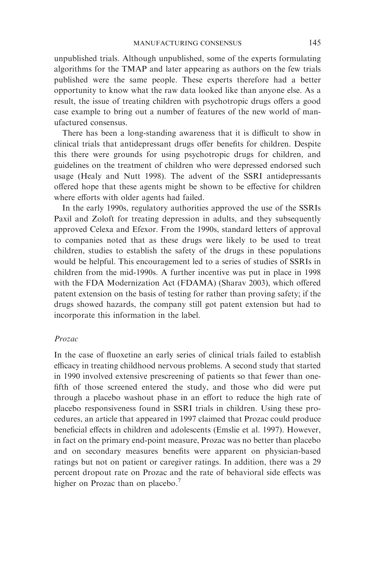unpublished trials. Although unpublished, some of the experts formulating algorithms for the TMAP and later appearing as authors on the few trials published were the same people. These experts therefore had a better opportunity to know what the raw data looked like than anyone else. As a result, the issue of treating children with psychotropic drugs offers a good case example to bring out a number of features of the new world of manufactured consensus.

There has been a long-standing awareness that it is difficult to show in clinical trials that antidepressant drugs offer benefits for children. Despite this there were grounds for using psychotropic drugs for children, and guidelines on the treatment of children who were depressed endorsed such usage (Healy and Nutt 1998). The advent of the SSRI antidepressants offered hope that these agents might be shown to be effective for children where efforts with older agents had failed.

In the early 1990s, regulatory authorities approved the use of the SSRIs Paxil and Zoloft for treating depression in adults, and they subsequently approved Celexa and Efexor. From the 1990s, standard letters of approval to companies noted that as these drugs were likely to be used to treat children, studies to establish the safety of the drugs in these populations would be helpful. This encouragement led to a series of studies of SSRIs in children from the mid-1990s. A further incentive was put in place in 1998 with the FDA Modernization Act (FDAMA) (Sharav 2003), which offered patent extension on the basis of testing for rather than proving safety; if the drugs showed hazards, the company still got patent extension but had to incorporate this information in the label.

### Prozac

In the case of fluoxetine an early series of clinical trials failed to establish efficacy in treating childhood nervous problems. A second study that started in 1990 involved extensive prescreening of patients so that fewer than onefifth of those screened entered the study, and those who did were put through a placebo washout phase in an effort to reduce the high rate of placebo responsiveness found in SSRI trials in children. Using these procedures, an article that appeared in 1997 claimed that Prozac could produce beneficial effects in children and adolescents (Emslie et al. 1997). However, in fact on the primary end-point measure, Prozac was no better than placebo and on secondary measures benefits were apparent on physician-based ratings but not on patient or caregiver ratings. In addition, there was a 29 percent dropout rate on Prozac and the rate of behavioral side effects was higher on Prozac than on placebo.<sup>7</sup>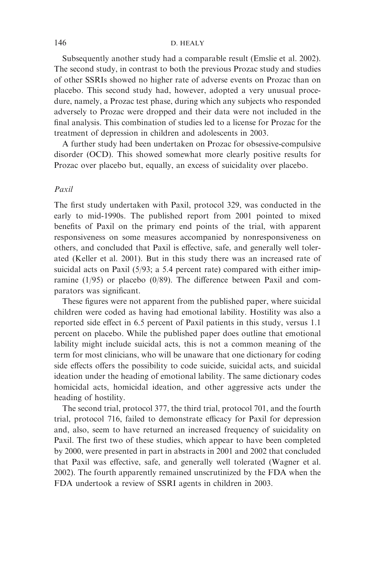Subsequently another study had a comparable result (Emslie et al. 2002). The second study, in contrast to both the previous Prozac study and studies of other SSRIs showed no higher rate of adverse events on Prozac than on placebo. This second study had, however, adopted a very unusual procedure, namely, a Prozac test phase, during which any subjects who responded adversely to Prozac were dropped and their data were not included in the final analysis. This combination of studies led to a license for Prozac for the treatment of depression in children and adolescents in 2003.

A further study had been undertaken on Prozac for obsessive-compulsive disorder (OCD). This showed somewhat more clearly positive results for Prozac over placebo but, equally, an excess of suicidality over placebo.

### Paxil

The first study undertaken with Paxil, protocol 329, was conducted in the early to mid-1990s. The published report from 2001 pointed to mixed benefits of Paxil on the primary end points of the trial, with apparent responsiveness on some measures accompanied by nonresponsiveness on others, and concluded that Paxil is effective, safe, and generally well tolerated (Keller et al. 2001). But in this study there was an increased rate of suicidal acts on Paxil (5/93; a 5.4 percent rate) compared with either imipramine (1/95) or placebo (0/89). The difference between Paxil and comparators was significant.

These figures were not apparent from the published paper, where suicidal children were coded as having had emotional lability. Hostility was also a reported side effect in 6.5 percent of Paxil patients in this study, versus 1.1 percent on placebo. While the published paper does outline that emotional lability might include suicidal acts, this is not a common meaning of the term for most clinicians, who will be unaware that one dictionary for coding side effects offers the possibility to code suicide, suicidal acts, and suicidal ideation under the heading of emotional lability. The same dictionary codes homicidal acts, homicidal ideation, and other aggressive acts under the heading of hostility.

The second trial, protocol 377, the third trial, protocol 701, and the fourth trial, protocol 716, failed to demonstrate efficacy for Paxil for depression and, also, seem to have returned an increased frequency of suicidality on Paxil. The first two of these studies, which appear to have been completed by 2000, were presented in part in abstracts in 2001 and 2002 that concluded that Paxil was effective, safe, and generally well tolerated (Wagner et al. 2002). The fourth apparently remained unscrutinized by the FDA when the FDA undertook a review of SSRI agents in children in 2003.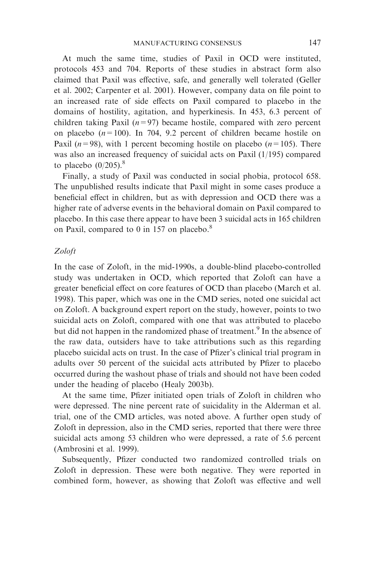At much the same time, studies of Paxil in OCD were instituted, protocols 453 and 704. Reports of these studies in abstract form also claimed that Paxil was effective, safe, and generally well tolerated (Geller et al. 2002; Carpenter et al. 2001). However, company data on file point to an increased rate of side effects on Paxil compared to placebo in the domains of hostility, agitation, and hyperkinesis. In 453, 6.3 percent of children taking Paxil  $(n=97)$  became hostile, compared with zero percent on placebo  $(n=100)$ . In 704, 9.2 percent of children became hostile on Paxil ( $n=98$ ), with 1 percent becoming hostile on placebo ( $n=105$ ). There was also an increased frequency of suicidal acts on Paxil (1/195) compared to placebo  $(0/205)$ .<sup>8</sup>

Finally, a study of Paxil was conducted in social phobia, protocol 658. The unpublished results indicate that Paxil might in some cases produce a beneficial effect in children, but as with depression and OCD there was a higher rate of adverse events in the behavioral domain on Paxil compared to placebo. In this case there appear to have been 3 suicidal acts in 165 children on Paxil, compared to 0 in 157 on placebo. $8$ 

### Zoloft

In the case of Zoloft, in the mid-1990s, a double-blind placebo-controlled study was undertaken in OCD, which reported that Zoloft can have a greater beneficial effect on core features of OCD than placebo (March et al. 1998). This paper, which was one in the CMD series, noted one suicidal act on Zoloft. A background expert report on the study, however, points to two suicidal acts on Zoloft, compared with one that was attributed to placebo but did not happen in the randomized phase of treatment.<sup>9</sup> In the absence of the raw data, outsiders have to take attributions such as this regarding placebo suicidal acts on trust. In the case of Pfizer's clinical trial program in adults over 50 percent of the suicidal acts attributed by Pfizer to placebo occurred during the washout phase of trials and should not have been coded under the heading of placebo (Healy 2003b).

At the same time, Pfizer initiated open trials of Zoloft in children who were depressed. The nine percent rate of suicidality in the Alderman et al. trial, one of the CMD articles, was noted above. A further open study of Zoloft in depression, also in the CMD series, reported that there were three suicidal acts among 53 children who were depressed, a rate of 5.6 percent (Ambrosini et al. 1999).

Subsequently, Pfizer conducted two randomized controlled trials on Zoloft in depression. These were both negative. They were reported in combined form, however, as showing that Zoloft was effective and well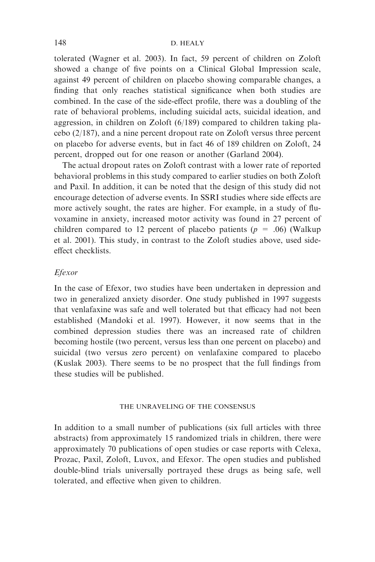tolerated (Wagner et al. 2003). In fact, 59 percent of children on Zoloft showed a change of five points on a Clinical Global Impression scale, against 49 percent of children on placebo showing comparable changes, a finding that only reaches statistical significance when both studies are combined. In the case of the side-effect profile, there was a doubling of the rate of behavioral problems, including suicidal acts, suicidal ideation, and aggression, in children on Zoloft (6/189) compared to children taking placebo (2/187), and a nine percent dropout rate on Zoloft versus three percent on placebo for adverse events, but in fact 46 of 189 children on Zoloft, 24 percent, dropped out for one reason or another (Garland 2004).

The actual dropout rates on Zoloft contrast with a lower rate of reported behavioral problems in this study compared to earlier studies on both Zoloft and Paxil. In addition, it can be noted that the design of this study did not encourage detection of adverse events. In SSRI studies where side effects are more actively sought, the rates are higher. For example, in a study of fluvoxamine in anxiety, increased motor activity was found in 27 percent of children compared to 12 percent of placebo patients ( $p = .06$ ) (Walkup et al. 2001). This study, in contrast to the Zoloft studies above, used sideeffect checklists.

### Efexor

In the case of Efexor, two studies have been undertaken in depression and two in generalized anxiety disorder. One study published in 1997 suggests that venlafaxine was safe and well tolerated but that efficacy had not been established (Mandoki et al. 1997). However, it now seems that in the combined depression studies there was an increased rate of children becoming hostile (two percent, versus less than one percent on placebo) and suicidal (two versus zero percent) on venlafaxine compared to placebo (Kuslak 2003). There seems to be no prospect that the full findings from these studies will be published.

### THE UNRAVELING OF THE CONSENSUS

In addition to a small number of publications (six full articles with three abstracts) from approximately 15 randomized trials in children, there were approximately 70 publications of open studies or case reports with Celexa, Prozac, Paxil, Zoloft, Luvox, and Efexor. The open studies and published double-blind trials universally portrayed these drugs as being safe, well tolerated, and effective when given to children.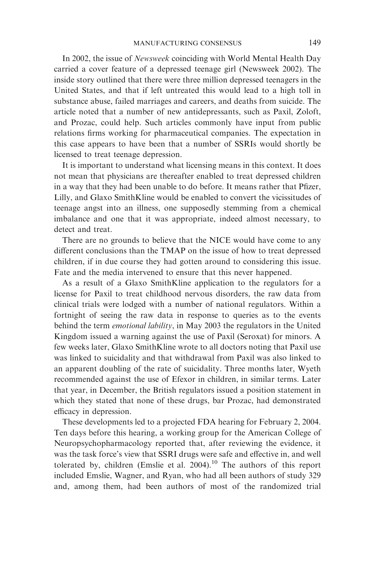In 2002, the issue of Newsweek coinciding with World Mental Health Day carried a cover feature of a depressed teenage girl (Newsweek 2002). The inside story outlined that there were three million depressed teenagers in the United States, and that if left untreated this would lead to a high toll in substance abuse, failed marriages and careers, and deaths from suicide. The article noted that a number of new antidepressants, such as Paxil, Zoloft, and Prozac, could help. Such articles commonly have input from public relations firms working for pharmaceutical companies. The expectation in this case appears to have been that a number of SSRIs would shortly be licensed to treat teenage depression.

It is important to understand what licensing means in this context. It does not mean that physicians are thereafter enabled to treat depressed children in a way that they had been unable to do before. It means rather that Pfizer, Lilly, and Glaxo SmithKline would be enabled to convert the vicissitudes of teenage angst into an illness, one supposedly stemming from a chemical imbalance and one that it was appropriate, indeed almost necessary, to detect and treat.

There are no grounds to believe that the NICE would have come to any different conclusions than the TMAP on the issue of how to treat depressed children, if in due course they had gotten around to considering this issue. Fate and the media intervened to ensure that this never happened.

As a result of a Glaxo SmithKline application to the regulators for a license for Paxil to treat childhood nervous disorders, the raw data from clinical trials were lodged with a number of national regulators. Within a fortnight of seeing the raw data in response to queries as to the events behind the term emotional lability, in May 2003 the regulators in the United Kingdom issued a warning against the use of Paxil (Seroxat) for minors. A few weeks later, Glaxo SmithKline wrote to all doctors noting that Paxil use was linked to suicidality and that withdrawal from Paxil was also linked to an apparent doubling of the rate of suicidality. Three months later, Wyeth recommended against the use of Efexor in children, in similar terms. Later that year, in December, the British regulators issued a position statement in which they stated that none of these drugs, bar Prozac, had demonstrated efficacy in depression.

These developments led to a projected FDA hearing for February 2, 2004. Ten days before this hearing, a working group for the American College of Neuropsychopharmacology reported that, after reviewing the evidence, it was the task force's view that SSRI drugs were safe and effective in, and well tolerated by, children (Emslie et al.  $2004$ ).<sup>10</sup> The authors of this report included Emslie, Wagner, and Ryan, who had all been authors of study 329 and, among them, had been authors of most of the randomized trial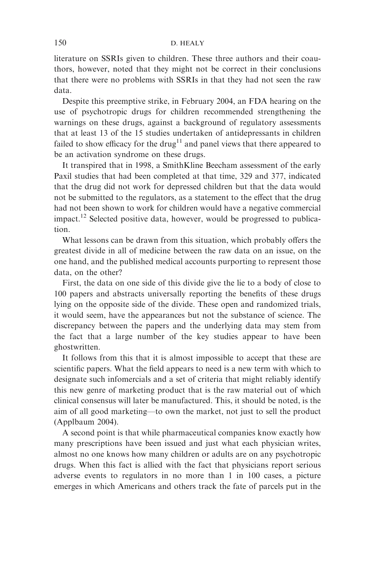literature on SSRIs given to children. These three authors and their coauthors, however, noted that they might not be correct in their conclusions that there were no problems with SSRIs in that they had not seen the raw data.

Despite this preemptive strike, in February 2004, an FDA hearing on the use of psychotropic drugs for children recommended strengthening the warnings on these drugs, against a background of regulatory assessments that at least 13 of the 15 studies undertaken of antidepressants in children failed to show efficacy for the drug<sup>11</sup> and panel views that there appeared to be an activation syndrome on these drugs.

It transpired that in 1998, a SmithKline Beecham assessment of the early Paxil studies that had been completed at that time, 329 and 377, indicated that the drug did not work for depressed children but that the data would not be submitted to the regulators, as a statement to the effect that the drug had not been shown to work for children would have a negative commercial  $impact.<sup>12</sup>$  Selected positive data, however, would be progressed to publication.

What lessons can be drawn from this situation, which probably offers the greatest divide in all of medicine between the raw data on an issue, on the one hand, and the published medical accounts purporting to represent those data, on the other?

First, the data on one side of this divide give the lie to a body of close to 100 papers and abstracts universally reporting the benefits of these drugs lying on the opposite side of the divide. These open and randomized trials, it would seem, have the appearances but not the substance of science. The discrepancy between the papers and the underlying data may stem from the fact that a large number of the key studies appear to have been ghostwritten.

It follows from this that it is almost impossible to accept that these are scientific papers. What the field appears to need is a new term with which to designate such infomercials and a set of criteria that might reliably identify this new genre of marketing product that is the raw material out of which clinical consensus will later be manufactured. This, it should be noted, is the aim of all good marketing—to own the market, not just to sell the product (Applbaum 2004).

A second point is that while pharmaceutical companies know exactly how many prescriptions have been issued and just what each physician writes, almost no one knows how many children or adults are on any psychotropic drugs. When this fact is allied with the fact that physicians report serious adverse events to regulators in no more than 1 in 100 cases, a picture emerges in which Americans and others track the fate of parcels put in the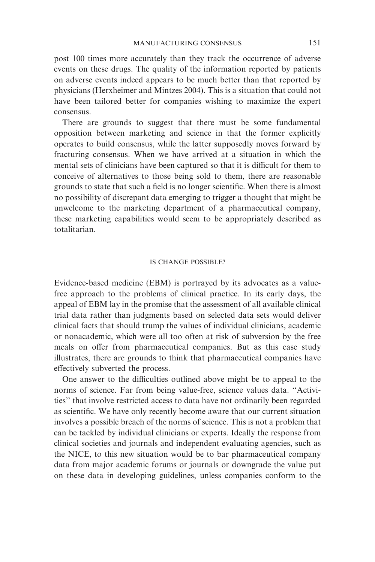post 100 times more accurately than they track the occurrence of adverse events on these drugs. The quality of the information reported by patients on adverse events indeed appears to be much better than that reported by physicians (Herxheimer and Mintzes 2004). This is a situation that could not have been tailored better for companies wishing to maximize the expert consensus.

There are grounds to suggest that there must be some fundamental opposition between marketing and science in that the former explicitly operates to build consensus, while the latter supposedly moves forward by fracturing consensus. When we have arrived at a situation in which the mental sets of clinicians have been captured so that it is difficult for them to conceive of alternatives to those being sold to them, there are reasonable grounds to state that such a field is no longer scientific. When there is almost no possibility of discrepant data emerging to trigger a thought that might be unwelcome to the marketing department of a pharmaceutical company, these marketing capabilities would seem to be appropriately described as totalitarian.

#### IS CHANGE POSSIBLE?

Evidence-based medicine (EBM) is portrayed by its advocates as a valuefree approach to the problems of clinical practice. In its early days, the appeal of EBM lay in the promise that the assessment of all available clinical trial data rather than judgments based on selected data sets would deliver clinical facts that should trump the values of individual clinicians, academic or nonacademic, which were all too often at risk of subversion by the free meals on offer from pharmaceutical companies. But as this case study illustrates, there are grounds to think that pharmaceutical companies have effectively subverted the process.

One answer to the difficulties outlined above might be to appeal to the norms of science. Far from being value-free, science values data. ''Activities'' that involve restricted access to data have not ordinarily been regarded as scientific. We have only recently become aware that our current situation involves a possible breach of the norms of science. This is not a problem that can be tackled by individual clinicians or experts. Ideally the response from clinical societies and journals and independent evaluating agencies, such as the NICE, to this new situation would be to bar pharmaceutical company data from major academic forums or journals or downgrade the value put on these data in developing guidelines, unless companies conform to the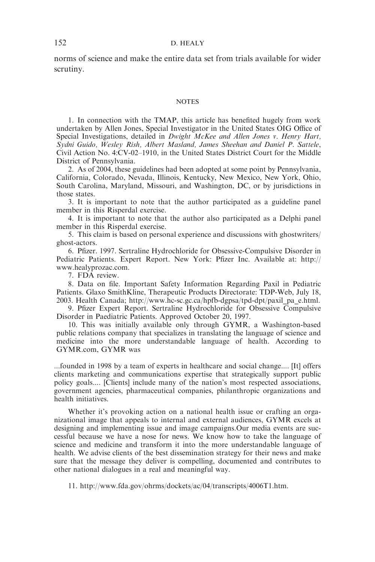norms of science and make the entire data set from trials available for wider scrutiny.

#### **NOTES**

1. In connection with the TMAP, this article has benefited hugely from work undertaken by Allen Jones, Special Investigator in the United States OIG Office of Special Investigations, detailed in *Dwight McKee and Allen Jones v. Henry Hart*, Sydni Guido, Wesley Rish, Albert Masland, James Sheehan and Daniel P. Sattele, Civil Action No. 4:CV-02–1910, in the United States District Court for the Middle District of Pennsylvania.

2. As of 2004, these guidelines had been adopted at some point by Pennsylvania, California, Colorado, Nevada, Illinois, Kentucky, New Mexico, New York, Ohio, South Carolina, Maryland, Missouri, and Washington, DC, or by jurisdictions in those states.

3. It is important to note that the author participated as a guideline panel member in this Risperdal exercise.

4. It is important to note that the author also participated as a Delphi panel member in this Risperdal exercise.

5. This claim is based on personal experience and discussions with ghostwriters/ ghost-actors.

6. Pfizer. 1997. Sertraline Hydrochloride for Obsessive-Compulsive Disorder in Pediatric Patients. Expert Report. New York: Pfizer Inc. Available at: http:// www.healyprozac.com.

7. FDA review.

8. Data on file. Important Safety Information Regarding Paxil in Pediatric Patients. Glaxo SmithKline, Therapeutic Products Directorate: TDP-Web, July 18, 2003. Health Canada; http://www.hc-sc.gc.ca/hpfb-dgpsa/tpd-dpt/paxil\_pa\_e.html.

9. Pfizer Expert Report. Sertraline Hydrochloride for Obsessive Compulsive Disorder in Paediatric Patients. Approved October 20, 1997.

10. This was initially available only through GYMR, a Washington-based public relations company that specializes in translating the language of science and medicine into the more understandable language of health. According to GYMR.com, GYMR was

...founded in 1998 by a team of experts in healthcare and social change.... [It] offers clients marketing and communications expertise that strategically support public policy goals.... [Clients] include many of the nation's most respected associations, government agencies, pharmaceutical companies, philanthropic organizations and health initiatives.

Whether it's provoking action on a national health issue or crafting an organizational image that appeals to internal and external audiences, GYMR excels at designing and implementing issue and image campaigns.Our media events are successful because we have a nose for news. We know how to take the language of science and medicine and transform it into the more understandable language of health. We advise clients of the best dissemination strategy for their news and make sure that the message they deliver is compelling, documented and contributes to other national dialogues in a real and meaningful way.

11. http://www.fda.gov/ohrms/dockets/ac/04/transcripts/4006T1.htm.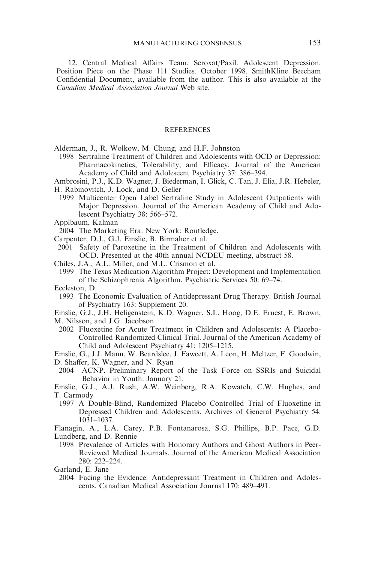12. Central Medical Affairs Team. Seroxat/Paxil. Adolescent Depression. Position Piece on the Phase 111 Studies. October 1998. SmithKline Beecham Confidential Document, available from the author. This is also available at the Canadian Medical Association Journal Web site.

#### **REFERENCES**

Alderman, J., R. Wolkow, M. Chung, and H.F. Johnston

- 1998 Sertraline Treatment of Children and Adolescents with OCD or Depression: Pharmacokinetics, Tolerability, and Efficacy. Journal of the American Academy of Child and Adolescent Psychiatry 37: 386–394.
- Ambrosini, P.J., K.D. Wagner, J. Biederman, I. Glick, C. Tan, J. Elia, J.R. Hebeler, H. Rabinovitch, J. Lock, and D. Geller
- 1999 Multicenter Open Label Sertraline Study in Adolescent Outpatients with Major Depression. Journal of the American Academy of Child and Adolescent Psychiatry 38: 566–572.
- Applbaum, Kalman
- 2004 The Marketing Era. New York: Routledge.
- Carpenter, D.J., G.J. Emslie, B. Birmaher et al.
- 2001 Safety of Paroxetine in the Treatment of Children and Adolescents with OCD. Presented at the 40th annual NCDEU meeting, abstract 58.
- Chiles, J.A., A.L. Miller, and M.L. Crismon et al.
- 1999 The Texas Medication Algorithm Project: Development and Implementation of the Schizophrenia Algorithm. Psychiatric Services 50: 69–74.
- Eccleston, D.
- 1993 The Economic Evaluation of Antidepressant Drug Therapy. British Journal of Psychiatry 163: Supplement 20.
- Emslie, G.J., J.H. Heligenstein, K.D. Wagner, S.L. Hoog, D.E. Ernest, E. Brown, M. Nilsson, and J.G. Jacobson
- 2002 Fluoxetine for Acute Treatment in Children and Adolescents: A Placebo-Controlled Randomized Clinical Trial. Journal of the American Academy of Child and Adolescent Psychiatry 41: 1205–1215.
- Emslie, G., J.J. Mann, W. Beardslee, J. Fawcett, A. Leon, H. Meltzer, F. Goodwin, D. Shaffer, K. Wagner, and N. Ryan
- 2004 ACNP. Preliminary Report of the Task Force on SSRIs and Suicidal Behavior in Youth. January 21.
- Emslie, G.J., A.J. Rush, A.W. Weinberg, R.A. Kowatch, C.W. Hughes, and T. Carmody
- 1997 A Double-Blind, Randomized Placebo Controlled Trial of Fluoxetine in Depressed Children and Adolescents. Archives of General Psychiatry 54: 1031–1037.

Flanagin, A., L.A. Carey, P.B. Fontanarosa, S.G. Phillips, B.P. Pace, G.D. Lundberg, and D. Rennie

1998 Prevalence of Articles with Honorary Authors and Ghost Authors in Peer-Reviewed Medical Journals. Journal of the American Medical Association 280: 222–224.

Garland, E. Jane

2004 Facing the Evidence: Antidepressant Treatment in Children and Adolescents. Canadian Medical Association Journal 170: 489–491.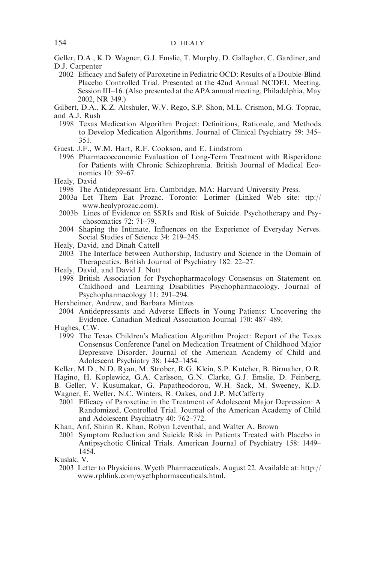- Geller, D.A., K.D. Wagner, G.J. Emslie, T. Murphy, D. Gallagher, C. Gardiner, and D.J. Carpenter
- 2002 Efficacy and Safety of Paroxetine in Pediatric OCD: Results of a Double-Blind Placebo Controlled Trial. Presented at the 42nd Annual NCDEU Meeting, Session III–16. (Also presented at the APA annual meeting, Philadelphia, May 2002, NR 349.)

Gilbert, D.A., K.Z. Altshuler, W.V. Rego, S.P. Shon, M.L. Crismon, M.G. Toprac, and A.J. Rush

- 1998 Texas Medication Algorithm Project: Definitions, Rationale, and Methods to Develop Medication Algorithms. Journal of Clinical Psychiatry 59: 345– 351.
- Guest, J.F., W.M. Hart, R.F. Cookson, and E. Lindstrom
- 1996 Pharmacoeconomic Evaluation of Long-Term Treatment with Risperidone for Patients with Chronic Schizophrenia. British Journal of Medical Economics 10: 59–67.
- Healy, David
	- 1998 The Antidepressant Era. Cambridge, MA: Harvard University Press.
	- 2003a Let Them Eat Prozac. Toronto: Lorimer (Linked Web site: ttp:// www.healyprozac.com).
	- 2003b Lines of Evidence on SSRIs and Risk of Suicide. Psychotherapy and Psychosomatics 72: 71–79.
- 2004 Shaping the Intimate. Influences on the Experience of Everyday Nerves. Social Studies of Science 34: 219–245.
- Healy, David, and Dinah Cattell
- 2003 The Interface between Authorship, Industry and Science in the Domain of Therapeutics. British Journal of Psychiatry 182: 22–27.
- Healy, David, and David J. Nutt
- 1998 British Association for Psychopharmacology Consensus on Statement on Childhood and Learning Disabilities Psychopharmacology. Journal of Psychopharmacology 11: 291–294.
- Herxheimer, Andrew, and Barbara Mintzes
- 2004 Antidepressants and Adverse Effects in Young Patients: Uncovering the Evidence. Canadian Medical Association Journal 170: 487–489.
- Hughes, C.W.
- 1999 The Texas Children's Medication Algorithm Project: Report of the Texas Consensus Conference Panel on Medication Treatment of Childhood Major Depressive Disorder. Journal of the American Academy of Child and Adolescent Psychiatry 38: 1442–1454.

Keller, M.D., N.D. Ryan, M. Strober, R.G. Klein, S.P. Kutcher, B. Birmaher, O.R.

Hagino, H. Koplewicz, G.A. Carlsson, G.N. Clarke, G.J. Emslie, D. Feinberg,

B. Geller, V. Kusumakar, G. Papatheodorou, W.H. Sack, M. Sweeney, K.D.

Wagner, E. Weller, N.C. Winters, R. Oakes, and J.P. McCafferty

- 2001 Efficacy of Paroxetine in the Treatment of Adolescent Major Depression: A Randomized, Controlled Trial. Journal of the American Academy of Child and Adolescent Psychiatry 40: 762–772.
- Khan, Arif, Shirin R. Khan, Robyn Leventhal, and Walter A. Brown
- 2001 Symptom Reduction and Suicide Risk in Patients Treated with Placebo in Antipsychotic Clinical Trials. American Journal of Psychiatry 158: 1449– 1454.
- Kuslak, V.
- 2003 Letter to Physicians. Wyeth Pharmaceuticals, August 22. Available at: http:// www.rphlink.com/wyethpharmaceuticals.html.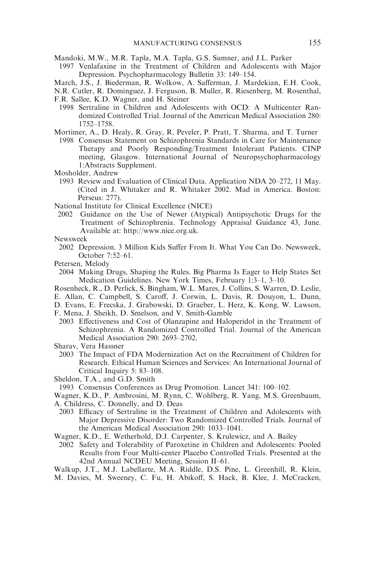- Mandoki, M.W., M.R. Tapla, M.A. Tapla, G.S. Sumner, and J.L. Parker
- 1997 Venlafaxine in the Treatment of Children and Adolescents with Major Depression. Psychopharmacology Bulletin 33: 149–154.
- March, J.S., J. Biederman, R. Wolkow, A. Safferman, J. Mardekian, E.H. Cook,

- 1998 Sertraline in Children and Adolescents with OCD: A Multicenter Randomized Controlled Trial. Journal of the American Medical Association 280: 1752–1758.
- Mortimer, A., D. Healy, R. Gray, R. Peveler, P. Pratt, T. Sharma, and T. Turner
- 1998 Consensus Statement on Schizophrenia Standards in Care for Maintenance Therapy and Poorly Responding/Treatment Intolerant Patients. CINP meeting, Glasgow. International Journal of Neuropsychopharmacology 1:Abstracts Supplement.
- Mosholder, Andrew
- 1993 Review and Evaluation of Clinical Data. Application NDA 20–272, 11 May. (Cited in J. Whitaker and R. Whitaker 2002. Mad in America. Boston: Perseus: 277).
- National Institute for Clinical Excellence (NICE)
- 2002 Guidance on the Use of Newer (Atypical) Antipsychotic Drugs for the Treatment of Schizophrenia. Technology Appraisal Guidance 43, June. Available at: http://www.nice.org.uk.
- Newsweek
- 2002 Depression. 3 Million Kids Suffer From It. What You Can Do. Newsweek, October 7:52–61.
- Petersen, Melody
- 2004 Making Drugs, Shaping the Rules. Big Pharma Is Eager to Help States Set Medication Guidelines. New York Times, February 1:3–1, 3–10.
- Rosenheck, R., D. Perlick, S. Bingham, W.L. Mares, J. Collins, S. Warren, D. Leslie,
- E. Allan, C. Campbell, S. Caroff, J. Corwin, L. Davis, R. Douyon, L. Dunn,
- D. Evans, E. Frecska, J. Grabowski, D. Graeber, L. Herz, K. Kong, W. Lawson,
- F. Mena, J. Sheikh, D. Smelson, and V. Smith-Gamble
- 2003 Effectiveness and Cost of Olanzapine and Haloperidol in the Treatment of Schizophrenia. A Randomized Controlled Trial. Journal of the American Medical Association 290: 2693–2702.
- Sharav, Vera Hassner
- 2003 The Impact of FDA Modernization Act on the Recruitment of Children for Research. Ethical Human Sciences and Services: An International Journal of Critical Inquiry 5: 83–108.
- Sheldon, T.A., and G.D. Smith
- 1993 Consensus Conferences as Drug Promotion. Lancet 341: 100–102.
- Wagner, K.D., P. Ambrosini, M. Rynn, C. Wohlberg, R. Yang, M.S. Greenbaum, A. Childress, C. Donnelly, and D. Deas
- 
- 2003 Efficacy of Sertraline in the Treatment of Children and Adolescents with Major Depressive Disorder: Two Randomized Controlled Trials. Journal of the American Medical Association 290: 1033–1041.
- Wagner, K.D., E. Wetherhold, D.J. Carpenter, S. Krulewicz, and A. Bailey
- 2002 Safety and Tolerability of Paroxetine in Children and Adolescents: Pooled Results from Four Multi-center Placebo Controlled Trials. Presented at the 42nd Annual NCDEU Meeting, Session II–61.

Walkup, J.T., M.J. Labellarte, M.A. Riddle, D.S. Pine, L. Greenhill, R. Klein, M. Davies, M. Sweeney, C. Fu, H. Abikoff, S. Hack, B. Klee, J. McCracken,

N.R. Cutler, R. Dominguez, J. Ferguson, B. Muller, R. Riesenberg, M. Rosenthal, F.R. Sallee, K.D. Wagner, and H. Steiner